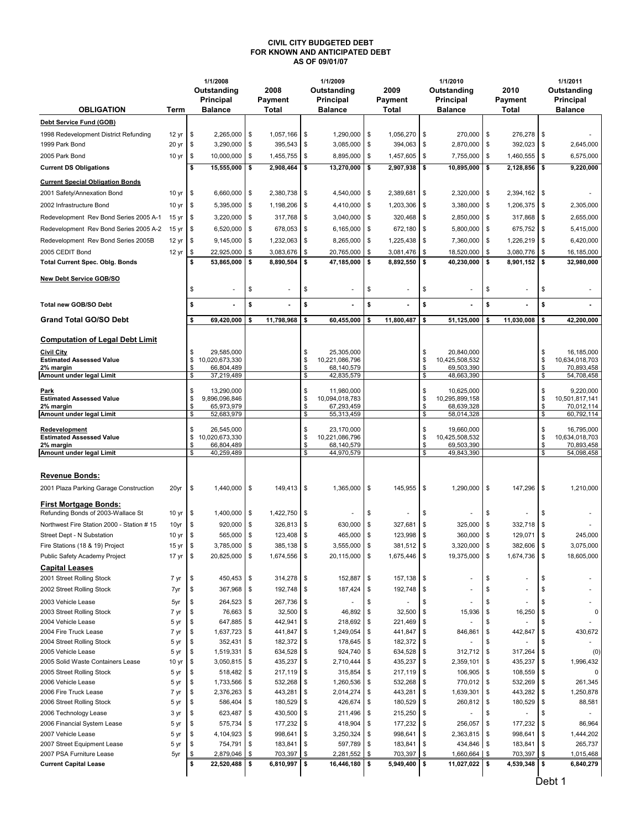## CIVIL CITY BUDGETED DEBT FOR KNOWN AND ANTICIPATED DEBT AS OF 09/01/07

|                                                               |                           |          | 1/1/2008                     |                 |                         |                          | 1/1/2009                     |                  |                        |          | 1/1/2010                     |          |                             |          | 1/1/2011                     |  |
|---------------------------------------------------------------|---------------------------|----------|------------------------------|-----------------|-------------------------|--------------------------|------------------------------|------------------|------------------------|----------|------------------------------|----------|-----------------------------|----------|------------------------------|--|
|                                                               |                           |          | Outstanding<br>Principal     | 2008<br>Payment |                         | Outstanding<br>Principal |                              |                  | 2009<br>Payment        |          | Outstanding<br>Principal     |          | 2010<br>Payment             |          | Outstanding<br>Principal     |  |
| <b>OBLIGATION</b>                                             | Term                      |          | <b>Balance</b>               |                 | <b>Total</b>            |                          | <b>Balance</b>               |                  | Total                  |          | <b>Balance</b>               |          | Total                       |          | <b>Balance</b>               |  |
| Debt Service Fund (GOB)                                       |                           |          |                              |                 |                         |                          |                              |                  |                        |          |                              |          |                             |          |                              |  |
| 1998 Redevelopment District Refunding                         | 12 yr                     | \$       | 2,265,000                    | \$              | 1.057.166               | \$                       | 1,290,000                    | \$               | 1,056,270              | \$       | 270,000                      | \$       | 276,278                     | \$       |                              |  |
| 1999 Park Bond                                                | 20 <sub>yr</sub>          | \$       | 3,290,000                    | \$              | 395,543                 | \$                       | 3,085,000                    | \$               | 394,063                | \$       | 2,870,000                    | \$       | 392,023                     | \$       | 2,645,000                    |  |
| 2005 Park Bond                                                | 10 <sub>yr</sub>          | \$       | 10,000,000                   | \$              | 1,455,755               | \$                       | 8,895,000                    | \$               | 1,457,605              | \$       | 7,755,000                    | \$       | 1,460,555                   | \$       | 6,575,000                    |  |
| <b>Current DS Obligations</b>                                 |                           | \$       | 15,555,000                   | \$              | 2,908,464               | s.                       | 13,270,000                   | \$               | 2,907,938              | \$       | 10,895,000                   | \$       | 2,128,856                   | \$       | 9,220,000                    |  |
| <b>Current Special Obligation Bonds</b>                       |                           |          |                              |                 |                         |                          |                              |                  |                        |          |                              |          |                             |          |                              |  |
| 2001 Safety/Annexation Bond                                   | 10 <sub>yr</sub>          | \$       | $6,660,000$   \$             |                 | 2,380,738               | $\sqrt{ }$               | 4,540,000                    | l \$             | 2,389,681              | \$       | 2,320,000                    | \$       | 2,394,162 \$                |          |                              |  |
|                                                               |                           |          | 5,395,000                    |                 |                         |                          |                              |                  |                        |          |                              |          |                             |          |                              |  |
| 2002 Infrastructure Bond                                      | 10 <sub>yr</sub>          | \$       |                              | \$              | $1,198,206$ \ \$        |                          | 4,410,000                    | <b>S</b>         | 1,203,306              | \$       | 3,380,000                    | \$       | 1,206,375                   | \$       | 2,305,000                    |  |
| Redevelopment Rev Bond Series 2005 A-1                        | 15 <sub>yr</sub>          | \$       | 3,220,000                    | \$              | 317,768                 | $\sqrt{3}$               | 3,040,000                    | \$               | 320,468                | \$       | 2,850,000                    | \$       | 317,868                     | \$       | 2,655,000                    |  |
| Redevelopment Rev Bond Series 2005 A-2                        | 15 <sub>yr</sub>          | \$       | 6,520,000                    | \$              | 678,053                 | $\sqrt{3}$               | 6,165,000                    | \$               | 672,180                | \$       | 5,800,000                    | \$       | 675,752                     | \$       | 5,415,000                    |  |
| Redevelopment Rev Bond Series 2005B                           | 12 <sub>yr</sub>          | \$       | 9,145,000                    | \$              | $1,232,063$ \$          |                          | 8,265,000                    | \$               | 1,225,438              | \$       | 7,360,000                    | \$       | 1,226,219                   | \$       | 6,420,000                    |  |
| 2005 CEDIT Bond                                               | 12 <sub>yr</sub>          | \$<br>\$ | 22,925,000<br>53,865,000     | \$<br>\$        | 3,083,676<br>8,890,504  | \$<br>\$                 | 20,765,000<br>47,185,000     | \$<br>l \$       | 3,081,476<br>8,892,550 | \$<br>\$ | 18,520,000<br>40,230,000     | \$<br>\$ | 3,080,776<br>$8,901,152$ \$ | S        | 16,185,000<br>32,980,000     |  |
| <b>Total Current Spec. Oblg. Bonds</b>                        |                           |          |                              |                 |                         |                          |                              |                  |                        |          |                              |          |                             |          |                              |  |
| New Debt Service GOB/SO                                       |                           |          |                              |                 |                         |                          |                              |                  |                        |          |                              |          |                             |          |                              |  |
|                                                               |                           | \$       |                              | \$              | $\sim$                  | \$                       | ÷.                           | \$               |                        | \$       | ä,                           | \$       |                             | \$       |                              |  |
| Total new GOB/SO Debt                                         |                           | \$       |                              | \$              |                         | \$                       |                              | \$               |                        | \$       |                              | \$       |                             | \$       |                              |  |
| <b>Grand Total GO/SO Debt</b>                                 |                           | \$       | 69.420.000                   | \$              | 11,798,968              | \$                       | 60,455,000                   | \$               | 11,800,487             | \$       | 51,125,000                   | \$       | 11,030,008                  | \$       | 42,200,000                   |  |
|                                                               |                           |          |                              |                 |                         |                          |                              |                  |                        |          |                              |          |                             |          |                              |  |
| <b>Computation of Legal Debt Limit</b>                        |                           |          |                              |                 |                         |                          |                              |                  |                        |          |                              |          |                             |          |                              |  |
| <b>Civil City</b><br><b>Estimated Assessed Value</b>          |                           | \$<br>\$ | 29,585,000<br>10,020,673,330 |                 |                         | \$<br>\$                 | 25.305.000<br>10,221,086,796 |                  |                        | \$<br>\$ | 20,840,000<br>10,425,508,532 |          |                             | \$<br>\$ | 16,185,000<br>10,634,018,703 |  |
| 2% margin                                                     |                           | \$       | 66,804,489                   |                 |                         | \$                       | 68,140,579                   |                  |                        | \$       | 69,503,390                   |          |                             | \$       | 70,893,458                   |  |
| Amount under legal Limit                                      |                           | \$       | 37,219,489                   |                 |                         | \$                       | 42,835,579                   |                  |                        | \$       | 48,663,390                   |          |                             | \$       | 54,708,458                   |  |
| Park                                                          |                           | \$       | 13,290,000                   |                 |                         | \$                       | 11,980,000                   |                  |                        | \$       | 10,625,000                   |          |                             | \$       | 9,220,000                    |  |
| <b>Estimated Assessed Value</b>                               |                           | \$       | 9,896,096,846                |                 |                         | \$                       | 10,094,018,783               |                  |                        | \$       | 10,295,899,158               |          |                             | \$       | 10,501,817,141               |  |
| 2% margin<br>Amount under legal Limit                         |                           | \$<br>\$ | 65,973,979<br>52,683,979     |                 |                         | \$<br>\$                 | 67,293,459<br>55,313,459     |                  |                        | \$<br>\$ | 68,639,328<br>58,014,328     |          |                             | \$<br>\$ | 70,012,114<br>60,792,114     |  |
|                                                               |                           | \$       | 26,545,000                   |                 |                         | \$                       | 23,170,000                   |                  |                        | \$       | 19,660,000                   |          |                             | \$       | 16,795,000                   |  |
| Redevelopment<br><b>Estimated Assessed Value</b>              |                           | \$       | 10,020,673,330               |                 |                         | \$                       | 10,221,086,796               |                  |                        | \$       | 10,425,508,532               |          |                             | \$       | 10,634,018,703               |  |
| 2% margin                                                     |                           | \$       | 66,804,489                   |                 |                         | \$                       | 68,140,579                   |                  |                        | \$       | 69,503,390                   |          |                             | \$       | 70,893,458                   |  |
| Amount under legal Limit                                      |                           | \$       | 40,259,489                   |                 |                         | \$                       | 44,970,579                   |                  |                        | \$       | 49,843,390                   |          |                             | \$       | 54,098,458                   |  |
| <b>Revenue Bonds:</b>                                         |                           |          |                              |                 |                         |                          |                              |                  |                        |          |                              |          |                             |          |                              |  |
|                                                               |                           |          |                              |                 |                         |                          |                              |                  |                        |          |                              | \$       |                             |          |                              |  |
| 2001 Plaza Parking Garage Construction                        | 20yr                      | \$       | $1,440,000$ \$               |                 | $149,413$ \$            |                          | $1,365,000$ \$               |                  | 145,955                | \$       | 1,290,000                    |          | 147,296                     | \$       | 1,210,000                    |  |
| <b>First Mortgage Bonds:</b>                                  |                           |          |                              |                 |                         |                          |                              |                  |                        |          |                              |          |                             |          |                              |  |
| Refunding Bonds of 2003-Wallace St                            | 10 <sub>yr</sub>          | \$       | $1,400,000$ \ \$             |                 | 1,422,750               | $\sqrt{ }$               |                              | \$               |                        | \$       |                              | \$       |                             | \$       |                              |  |
| Northwest Fire Station 2000 - Station # 15                    | 10yr                      | \$       | 920,000                      | \$              | $326,813$ \$            |                          | 630,000                      | \$               | 327,681                | \$       | 325,000                      | \$       | 332,718                     | \$       |                              |  |
| Street Dept - N Substation<br>Fire Stations (18 & 19) Project | 10 <sub>yr</sub><br>15 yr | \$       | 565,000 \$<br>3,785,000      | $\mathbb{S}$    | $123,408$ \$<br>385,138 | \$                       | 465,000<br>3,555,000         | <b>\$</b><br>l s | 123,998<br>381,512     | \$<br>\$ | 360,000<br>3,320,000         | \$<br>\$ | 129,071<br>382,606          | \$<br>\$ | 245,000<br>3,075,000         |  |
| Public Safety Academy Project                                 | 17 yr                     | \$       | 20,825,000 \$                |                 | 1,674,556               | -\$                      | 20,115,000 \$                |                  | 1,675,446              | \$       | 19,375,000                   | \$       | 1,674,736                   | \$       | 18,605,000                   |  |
| <b>Capital Leases</b>                                         |                           |          |                              |                 |                         |                          |                              |                  |                        |          |                              |          |                             |          |                              |  |
| 2001 Street Rolling Stock                                     | 7 yr                      | \$       | 450,453 \$                   |                 | $314,278$ \$            |                          | 152,887                      | -\$              | 157,138                | \$       |                              | \$       |                             | \$       |                              |  |
| 2002 Street Rolling Stock                                     | 7yr                       |          | 367,968                      | \$              | 192,748 \$              |                          | 187,424                      | \$               | 192,748                | \$       |                              | \$       |                             | S        |                              |  |
| 2003 Vehicle Lease                                            | 5yr                       |          | 264,523                      | \$              | 267,736 \$              |                          |                              | S                |                        | \$       |                              | \$       |                             |          |                              |  |
| 2003 Street Rolling Stock                                     | 7 yr                      | æ.       | 76,663                       | \$              | 32,500                  | -\$                      | 46,892                       |                  | 32,500                 | \$       | 15,936                       | \$       | 16,250                      | \$       | 0                            |  |
| 2004 Vehicle Lease                                            | 5 yr                      | S        | 647,885                      | \$              | 442,941                 | -\$                      | 218,692                      | -\$              | 221,469                | \$       |                              | \$       |                             |          |                              |  |
| 2004 Fire Truck Lease                                         | 7 yr                      |          | 1,637,723                    | \$              | 441,847                 | \$                       | 1,249,054                    |                  | 441,847                | \$       | 846,861                      | \$       | 442,847                     | \$       | 430,672                      |  |
| 2004 Street Rolling Stock                                     | 5 yr                      | S        | 352,431                      | \$              | 182,372 \$              |                          | 178,645                      | \$               | 182,372                | \$       |                              | \$       |                             | \$       |                              |  |
| 2005 Vehicle Lease                                            | 5 yr                      |          | 1,519,331                    | \$              | 634,528 \$              |                          | 924,740                      | \$               | 634,528                | \$       | 312,712                      | \$       | 317,264                     | \$       | (0)                          |  |
| 2005 Solid Waste Containers Lease                             | 10 yr                     | \$       | 3,050,815                    | \$              | 435,237                 | $\sqrt{ }$               | 2,710,444                    | S                | 435,237                | \$       | 2,359,101                    | \$       | 435,237                     | \$       | 1,996,432                    |  |
| 2005 Street Rolling Stock                                     | 5 yr                      | \$<br>S  | 518,482<br>1,733,566         | \$<br>\$        | $217,119$ \$<br>532,268 |                          | 315,854<br>1,260,536         | \$               | 217,119<br>532,268     | \$<br>\$ | 106,905<br>770,012           | \$<br>\$ | 108,559<br>532,269          | \$<br>\$ | 0                            |  |
| 2006 Vehicle Lease<br>2006 Fire Truck Lease                   | 5 yr<br>7 yr              | S        | 2,376,263                    | \$              | 443,281                 | -\$<br>l \$              | 2,014,274                    | \$<br>\$         | 443,281                | \$       | 1,639,301                    | -\$      | 443,282                     | \$       | 261,345<br>1,250,878         |  |
| 2006 Street Rolling Stock                                     | 5 yr                      |          | 586,404                      | \$              | 180,529                 | -\$                      | 426,674                      | \$               | 180,529                | \$       | 260,812                      | \$       | 180,529                     | \$       | 88,581                       |  |
| 2006 Technology Lease                                         | 3 yr                      |          | 623,487                      | \$              | 430,500                 | -\$                      | 211,496                      | S                | 215,250                | \$       |                              | \$       |                             | \$       | ٠                            |  |
| 2006 Financial System Lease                                   | 5 yr                      | \$       | 575,734                      | \$              | $177,232$ \$            |                          | 418,904                      | \$               | 177,232                | \$       | 256,057                      | \$       | 177,232                     | \$       | 86,964                       |  |
| 2007 Vehicle Lease                                            | 5 yr                      |          | 4,104,923                    | \$              | 998,641                 | \$                       | 3,250,324                    |                  | 998,641                | \$       | 2,363,815 \$                 |          | 998,641                     | \$       | 1,444,202                    |  |
| 2007 Street Equipment Lease                                   | 5 yr                      | æ.       | 754,791                      | \$              | 183,841                 | \$                       | 597,789                      | \$               | 183,841                | \$       | 434,846 \$                   |          | 183,841                     | \$       | 265,737                      |  |
| 2007 PSA Furniture Lease                                      | 5yr                       |          | 2,879,046                    | \$              | 703,397                 | \$                       | 2,281,552                    |                  | 703,397                | \$       | 1,660,664 \$                 |          | 703,397                     | \$       | 1,015,468                    |  |
| <b>Current Capital Lease</b>                                  |                           | \$       | 22,520,488                   | l \$            | $6,810,997$ \$          |                          | 16,446,180                   | l \$             | 5,949,400              | \$       | $11,027,022$ \$              |          | 4,539,348                   | \$       | 6,840,279                    |  |
|                                                               |                           |          |                              |                 |                         |                          |                              |                  |                        |          |                              |          |                             |          |                              |  |